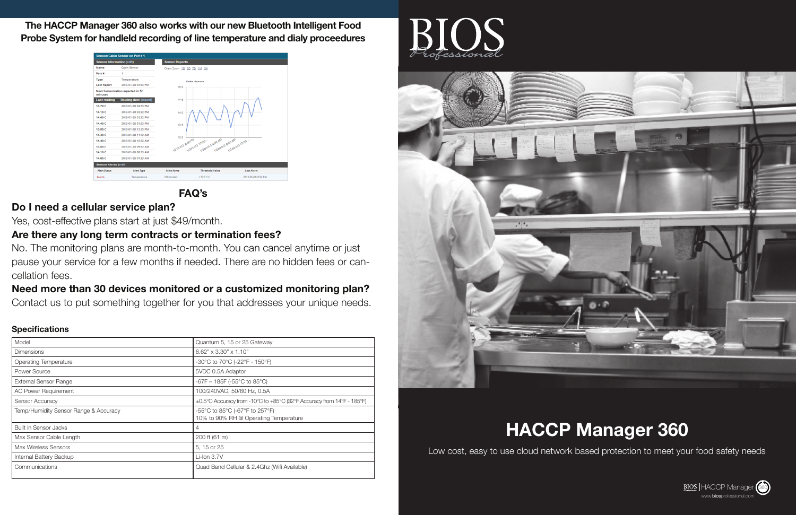# **HACCP Manager 360**

Low cost, easy to use cloud network based protection to meet your food safety needs



**The HACCP Manager 360 also works with our new Bluetooth Intelligent Food Probe System for handleld recording of line temperature and dialy proceedures**



# **FAQ's**

# **Do I need a cellular service plan?**

Yes, cost-effective plans start at just \$49/month.

# **Are there any long term contracts or termination fees?**

No. The monitoring plans are month-to-month. You can cancel anytime or just pause your service for a few months if needed. There are no hidden fees or cancellation fees.

# **Need more than 30 devices monitored or a customized monitoring plan?**

Contact us to put something together for you that addresses your unique needs.

## **Specifications**

| Model                                 | Quantum 5, 15 or 25 Gateway                                             |
|---------------------------------------|-------------------------------------------------------------------------|
| <b>Dimensions</b>                     | $6.62" \times 3.30" \times 1.10"$                                       |
| <b>Operating Temperature</b>          | -30°C to 70°C (-22°F - 150°F)                                           |
| Power Source                          | 5VDC 0.5A Adaptor                                                       |
| <b>External Sensor Range</b>          | -67F - 185F (-55 $^{\circ}$ C to 85 $^{\circ}$ C)                       |
| <b>AC Power Requirement</b>           | 100/240VAC, 50/60 Hz, 0.5A                                              |
| <b>Sensor Accuracy</b>                | ±0.5°C Accuracy from -10°C to +85°C (32°F Accuracy from 14°F - 185°F)   |
| Temp/Humidity Sensor Range & Accuracy | -55°C to 85°C (-67°F to 257°F)<br>10% to 90% RH @ Operating Temperature |
| <b>Built in Sensor Jacks</b>          | 4                                                                       |
| Max Sensor Cable Length               | 200 ft (61 m)                                                           |
| <b>Max Wireless Sensors</b>           | 5, 15 or 25                                                             |
| Internal Battery Backup               | $Li$ -Ion 3.7V                                                          |
| Communications                        | Quad Band Cellular & 2.4Ghz (Wifi Available)                            |